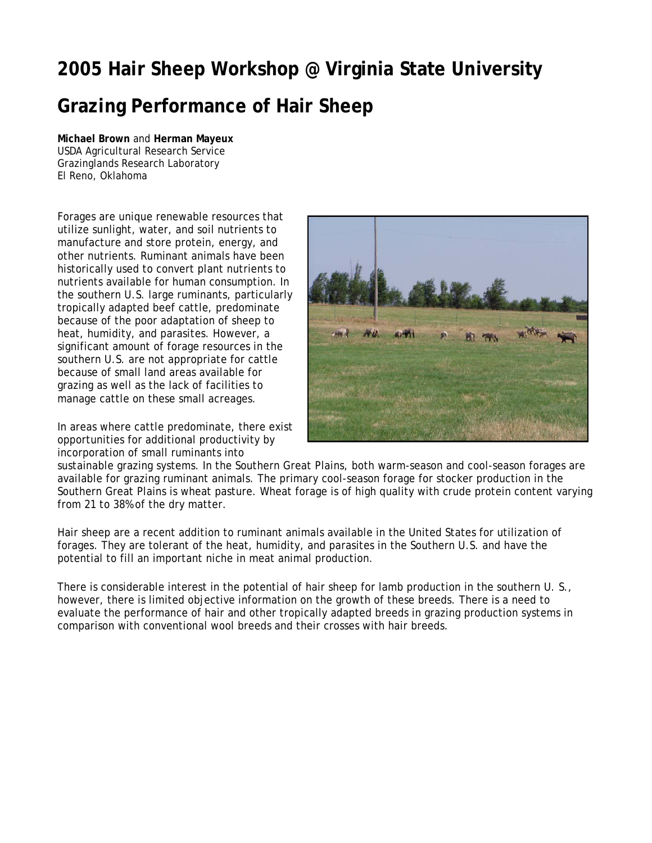## **2005 Hair Sheep Workshop @ Virginia State University Grazing Performance of Hair Sheep**

**Michael Brown** and **Herman Mayeux** USDA Agricultural Research Service Grazinglands Research Laboratory El Reno, Oklahoma

Forages are unique renewable resources that utilize sunlight, water, and soil nutrients to manufacture and store protein, energy, and other nutrients. Ruminant animals have been historically used to convert plant nutrients to nutrients available for human consumption. In the southern U.S. large ruminants, particularly tropically adapted beef cattle, predominate because of the poor adaptation of sheep to heat, humidity, and parasites. However, a significant amount of forage resources in the southern U.S. are not appropriate for cattle because of small land areas available for grazing as well as the lack of facilities to manage cattle on these small acreages.

In areas where cattle predominate, there exist opportunities for additional productivity by incorporation of small ruminants into



sustainable grazing systems. In the Southern Great Plains, both warm-season and cool-season forages are available for grazing ruminant animals. The primary cool-season forage for stocker production in the Southern Great Plains is wheat pasture. Wheat forage is of high quality with crude protein content varying from 21 to 38% of the dry matter.

Hair sheep are a recent addition to ruminant animals available in the United States for utilization of forages. They are tolerant of the heat, humidity, and parasites in the Southern U.S. and have the potential to fill an important niche in meat animal production.

There is considerable interest in the potential of hair sheep for lamb production in the southern U. S., however, there is limited objective information on the growth of these breeds. There is a need to evaluate the performance of hair and other tropically adapted breeds in grazing production systems in comparison with conventional wool breeds and their crosses with hair breeds.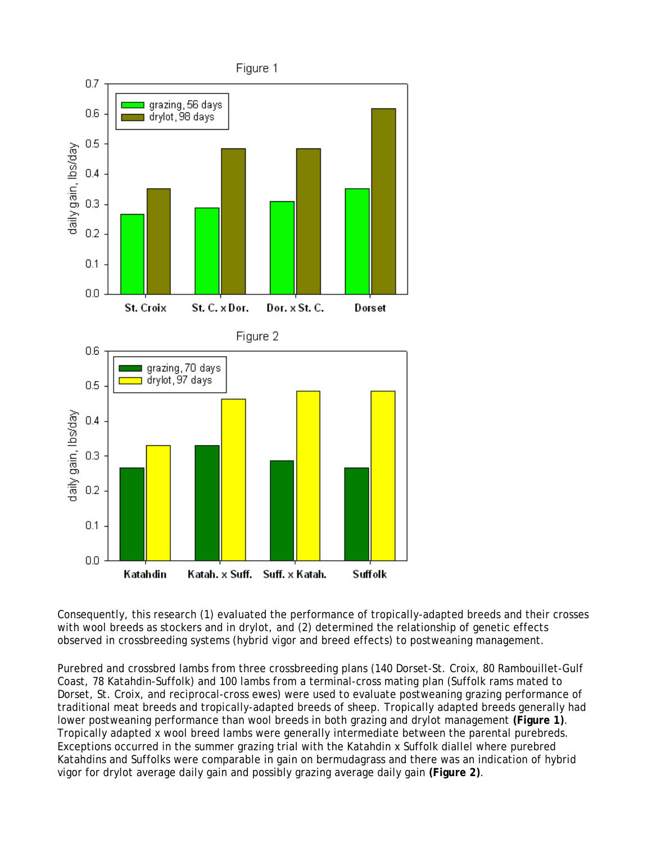

Consequently, this research (1) evaluated the performance of tropically-adapted breeds and their crosses with wool breeds as stockers and in drylot, and (2) determined the relationship of genetic effects observed in crossbreeding systems (hybrid vigor and breed effects) to postweaning management.

Purebred and crossbred lambs from three crossbreeding plans (140 Dorset-St. Croix, 80 Rambouillet-Gulf Coast, 78 Katahdin-Suffolk) and 100 lambs from a terminal-cross mating plan (Suffolk rams mated to Dorset, St. Croix, and reciprocal-cross ewes) were used to evaluate postweaning grazing performance of traditional meat breeds and tropically-adapted breeds of sheep. Tropically adapted breeds generally had lower postweaning performance than wool breeds in both grazing and drylot management **(Figure 1)**. Tropically adapted x wool breed lambs were generally intermediate between the parental purebreds. Exceptions occurred in the summer grazing trial with the Katahdin x Suffolk diallel where purebred Katahdins and Suffolks were comparable in gain on bermudagrass and there was an indication of hybrid vigor for drylot average daily gain and possibly grazing average daily gain **(Figure 2)**.